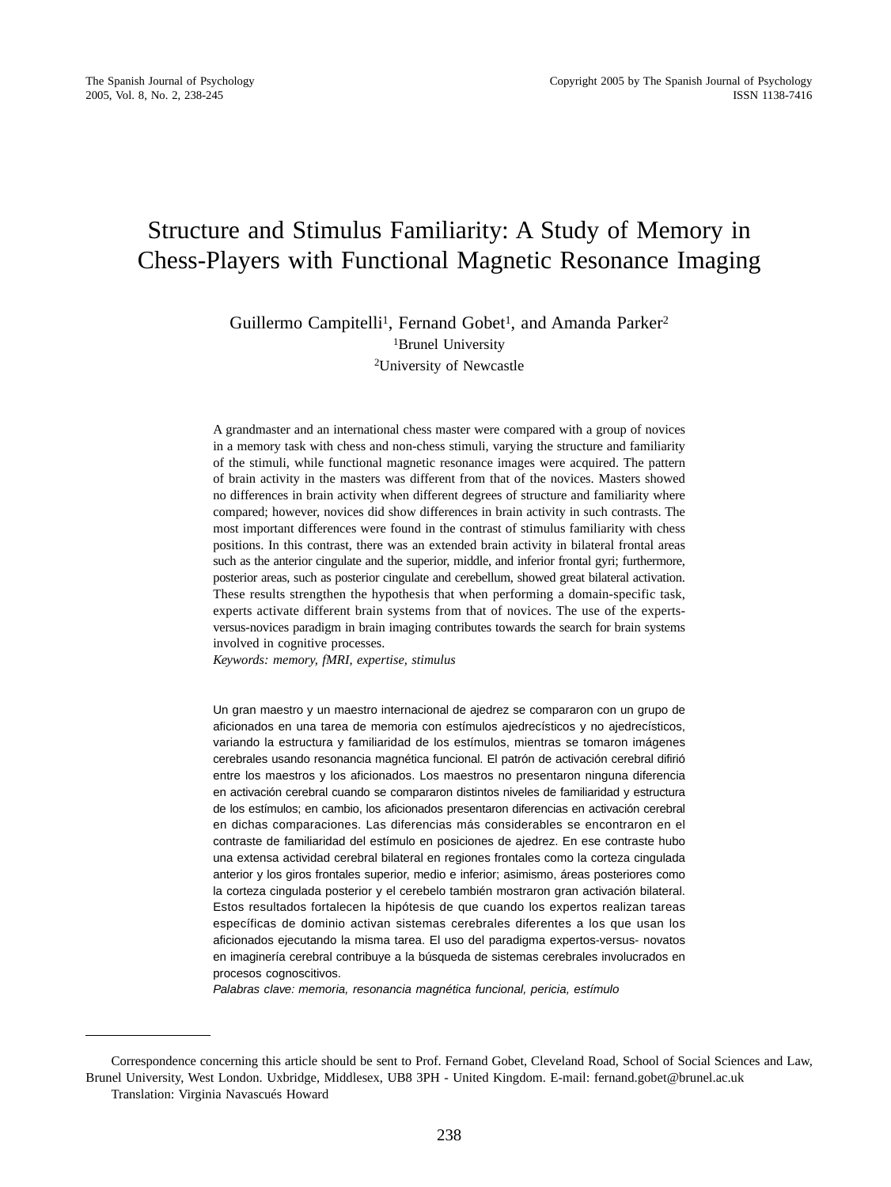# Structure and Stimulus Familiarity: A Study of Memory in Chess-Players with Functional Magnetic Resonance Imaging

Guillermo Campitelli<sup>1</sup>, Fernand Gobet<sup>1</sup>, and Amanda Parker<sup>2</sup> <sup>1</sup>Brunel University 2University of Newcastle

A grandmaster and an international chess master were compared with a group of novices in a memory task with chess and non-chess stimuli, varying the structure and familiarity of the stimuli, while functional magnetic resonance images were acquired. The pattern of brain activity in the masters was different from that of the novices. Masters showed no differences in brain activity when different degrees of structure and familiarity where compared; however, novices did show differences in brain activity in such contrasts. The most important differences were found in the contrast of stimulus familiarity with chess positions. In this contrast, there was an extended brain activity in bilateral frontal areas such as the anterior cingulate and the superior, middle, and inferior frontal gyri; furthermore, posterior areas, such as posterior cingulate and cerebellum, showed great bilateral activation. These results strengthen the hypothesis that when performing a domain-specific task, experts activate different brain systems from that of novices. The use of the expertsversus-novices paradigm in brain imaging contributes towards the search for brain systems involved in cognitive processes.

*Keywords: memory, fMRI, expertise, stimulus*

Un gran maestro y un maestro internacional de ajedrez se compararon con un grupo de aficionados en una tarea de memoria con estímulos ajedrecísticos y no ajedrecísticos, variando la estructura y familiaridad de los estímulos, mientras se tomaron imágenes cerebrales usando resonancia magnética funcional. El patrón de activación cerebral difirió entre los maestros y los aficionados. Los maestros no presentaron ninguna diferencia en activación cerebral cuando se compararon distintos niveles de familiaridad y estructura de los estímulos; en cambio, los aficionados presentaron diferencias en activación cerebral en dichas comparaciones. Las diferencias más considerables se encontraron en el contraste de familiaridad del estímulo en posiciones de ajedrez. En ese contraste hubo una extensa actividad cerebral bilateral en regiones frontales como la corteza cingulada anterior y los giros frontales superior, medio e inferior; asimismo, áreas posteriores como la corteza cingulada posterior y el cerebelo también mostraron gran activación bilateral. Estos resultados fortalecen la hipótesis de que cuando los expertos realizan tareas específicas de dominio activan sistemas cerebrales diferentes a los que usan los aficionados ejecutando la misma tarea. El uso del paradigma expertos-versus- novatos en imaginería cerebral contribuye a la búsqueda de sistemas cerebrales involucrados en procesos cognoscitivos.

Palabras clave: memoria, resonancia magnética funcional, pericia, estímulo

Correspondence concerning this article should be sent to Prof. Fernand Gobet, Cleveland Road, School of Social Sciences and Law, Brunel University, West London. Uxbridge, Middlesex, UB8 3PH - United Kingdom. E-mail: fernand.gobet@brunel.ac.uk Translation: Virginia Navascués Howard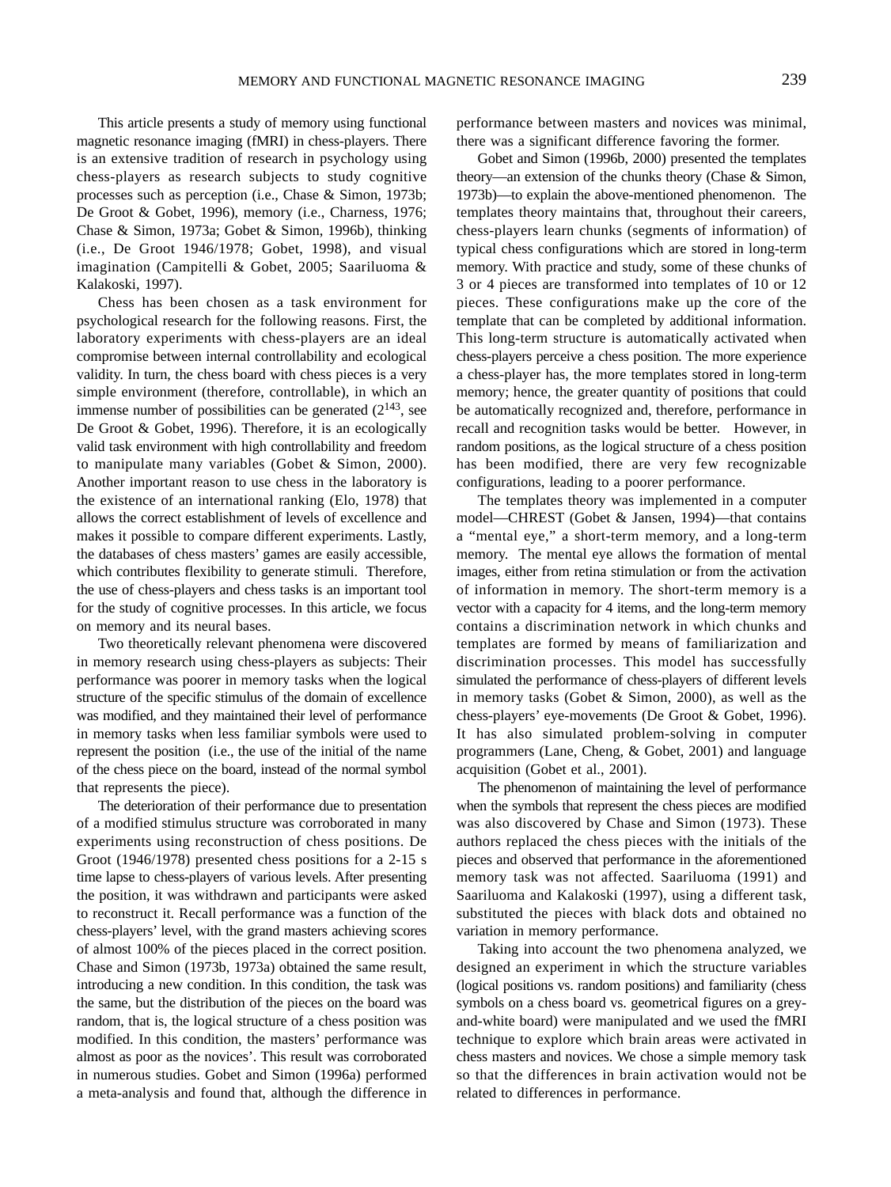This article presents a study of memory using functional magnetic resonance imaging (fMRI) in chess-players. There is an extensive tradition of research in psychology using chess-players as research subjects to study cognitive processes such as perception (i.e., Chase & Simon, 1973b; De Groot & Gobet, 1996), memory (i.e., Charness, 1976; Chase & Simon, 1973a; Gobet & Simon, 1996b), thinking (i.e., De Groot 1946/1978; Gobet, 1998), and visual imagination (Campitelli & Gobet, 2005; Saariluoma & Kalakoski, 1997).

Chess has been chosen as a task environment for psychological research for the following reasons. First, the laboratory experiments with chess-players are an ideal compromise between internal controllability and ecological validity. In turn, the chess board with chess pieces is a very simple environment (therefore, controllable), in which an immense number of possibilities can be generated  $(2^{143}, \text{see})$ De Groot & Gobet, 1996). Therefore, it is an ecologically valid task environment with high controllability and freedom to manipulate many variables (Gobet & Simon, 2000). Another important reason to use chess in the laboratory is the existence of an international ranking (Elo, 1978) that allows the correct establishment of levels of excellence and makes it possible to compare different experiments. Lastly, the databases of chess masters' games are easily accessible, which contributes flexibility to generate stimuli. Therefore, the use of chess-players and chess tasks is an important tool for the study of cognitive processes. In this article, we focus on memory and its neural bases.

Two theoretically relevant phenomena were discovered in memory research using chess-players as subjects: Their performance was poorer in memory tasks when the logical structure of the specific stimulus of the domain of excellence was modified, and they maintained their level of performance in memory tasks when less familiar symbols were used to represent the position (i.e., the use of the initial of the name of the chess piece on the board, instead of the normal symbol that represents the piece).

The deterioration of their performance due to presentation of a modified stimulus structure was corroborated in many experiments using reconstruction of chess positions. De Groot (1946/1978) presented chess positions for a 2-15 s time lapse to chess-players of various levels. After presenting the position, it was withdrawn and participants were asked to reconstruct it. Recall performance was a function of the chess-players' level, with the grand masters achieving scores of almost 100% of the pieces placed in the correct position. Chase and Simon (1973b, 1973a) obtained the same result, introducing a new condition. In this condition, the task was the same, but the distribution of the pieces on the board was random, that is, the logical structure of a chess position was modified. In this condition, the masters' performance was almost as poor as the novices'. This result was corroborated in numerous studies. Gobet and Simon (1996a) performed a meta-analysis and found that, although the difference in performance between masters and novices was minimal, there was a significant difference favoring the former.

Gobet and Simon (1996b, 2000) presented the templates theory—an extension of the chunks theory (Chase & Simon, 1973b)—to explain the above-mentioned phenomenon. The templates theory maintains that, throughout their careers, chess-players learn chunks (segments of information) of typical chess configurations which are stored in long-term memory. With practice and study, some of these chunks of 3 or 4 pieces are transformed into templates of 10 or 12 pieces. These configurations make up the core of the template that can be completed by additional information. This long-term structure is automatically activated when chess-players perceive a chess position. The more experience a chess-player has, the more templates stored in long-term memory; hence, the greater quantity of positions that could be automatically recognized and, therefore, performance in recall and recognition tasks would be better. However, in random positions, as the logical structure of a chess position has been modified, there are very few recognizable configurations, leading to a poorer performance.

The templates theory was implemented in a computer model—CHREST (Gobet & Jansen, 1994)—that contains a "mental eye," a short-term memory, and a long-term memory. The mental eye allows the formation of mental images, either from retina stimulation or from the activation of information in memory. The short-term memory is a vector with a capacity for 4 items, and the long-term memory contains a discrimination network in which chunks and templates are formed by means of familiarization and discrimination processes. This model has successfully simulated the performance of chess-players of different levels in memory tasks (Gobet & Simon, 2000), as well as the chess-players' eye-movements (De Groot & Gobet, 1996). It has also simulated problem-solving in computer programmers (Lane, Cheng, & Gobet, 2001) and language acquisition (Gobet et al., 2001).

The phenomenon of maintaining the level of performance when the symbols that represent the chess pieces are modified was also discovered by Chase and Simon (1973). These authors replaced the chess pieces with the initials of the pieces and observed that performance in the aforementioned memory task was not affected. Saariluoma (1991) and Saariluoma and Kalakoski (1997), using a different task, substituted the pieces with black dots and obtained no variation in memory performance.

Taking into account the two phenomena analyzed, we designed an experiment in which the structure variables (logical positions vs. random positions) and familiarity (chess symbols on a chess board vs. geometrical figures on a greyand-white board) were manipulated and we used the fMRI technique to explore which brain areas were activated in chess masters and novices. We chose a simple memory task so that the differences in brain activation would not be related to differences in performance.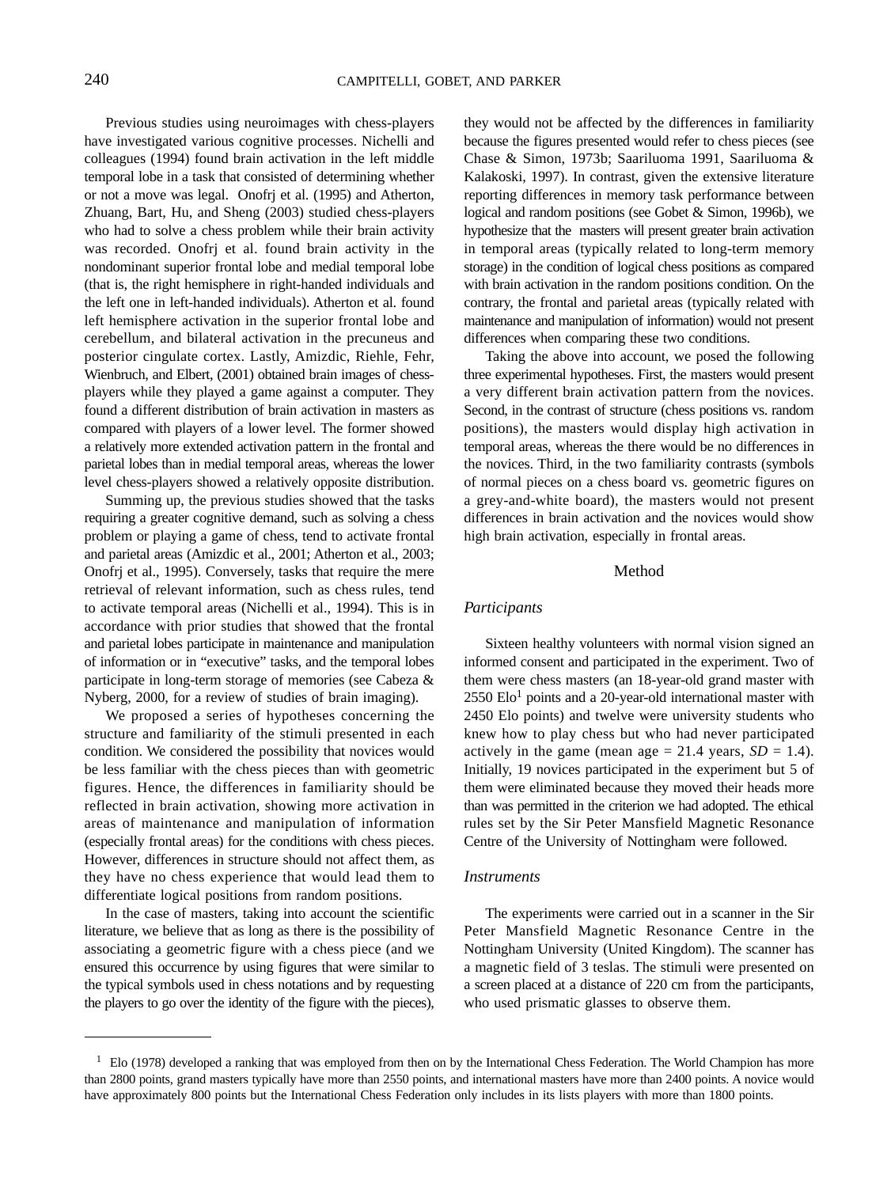Previous studies using neuroimages with chess-players have investigated various cognitive processes. Nichelli and colleagues (1994) found brain activation in the left middle temporal lobe in a task that consisted of determining whether or not a move was legal. Onofrj et al. (1995) and Atherton, Zhuang, Bart, Hu, and Sheng (2003) studied chess-players who had to solve a chess problem while their brain activity was recorded. Onofrj et al. found brain activity in the nondominant superior frontal lobe and medial temporal lobe (that is, the right hemisphere in right-handed individuals and the left one in left-handed individuals). Atherton et al. found left hemisphere activation in the superior frontal lobe and cerebellum, and bilateral activation in the precuneus and posterior cingulate cortex. Lastly, Amizdic, Riehle, Fehr, Wienbruch, and Elbert, (2001) obtained brain images of chessplayers while they played a game against a computer. They found a different distribution of brain activation in masters as compared with players of a lower level. The former showed a relatively more extended activation pattern in the frontal and parietal lobes than in medial temporal areas, whereas the lower level chess-players showed a relatively opposite distribution.

Summing up, the previous studies showed that the tasks requiring a greater cognitive demand, such as solving a chess problem or playing a game of chess, tend to activate frontal and parietal areas (Amizdic et al., 2001; Atherton et al., 2003; Onofrj et al., 1995). Conversely, tasks that require the mere retrieval of relevant information, such as chess rules, tend to activate temporal areas (Nichelli et al., 1994). This is in accordance with prior studies that showed that the frontal and parietal lobes participate in maintenance and manipulation of information or in "executive" tasks, and the temporal lobes participate in long-term storage of memories (see Cabeza & Nyberg, 2000, for a review of studies of brain imaging).

We proposed a series of hypotheses concerning the structure and familiarity of the stimuli presented in each condition. We considered the possibility that novices would be less familiar with the chess pieces than with geometric figures. Hence, the differences in familiarity should be reflected in brain activation, showing more activation in areas of maintenance and manipulation of information (especially frontal areas) for the conditions with chess pieces. However, differences in structure should not affect them, as they have no chess experience that would lead them to differentiate logical positions from random positions.

In the case of masters, taking into account the scientific literature, we believe that as long as there is the possibility of associating a geometric figure with a chess piece (and we ensured this occurrence by using figures that were similar to the typical symbols used in chess notations and by requesting the players to go over the identity of the figure with the pieces), they would not be affected by the differences in familiarity because the figures presented would refer to chess pieces (see Chase & Simon, 1973b; Saariluoma 1991, Saariluoma & Kalakoski, 1997). In contrast, given the extensive literature reporting differences in memory task performance between logical and random positions (see Gobet & Simon, 1996b), we hypothesize that the masters will present greater brain activation in temporal areas (typically related to long-term memory storage) in the condition of logical chess positions as compared with brain activation in the random positions condition. On the contrary, the frontal and parietal areas (typically related with maintenance and manipulation of information) would not present differences when comparing these two conditions.

Taking the above into account, we posed the following three experimental hypotheses. First, the masters would present a very different brain activation pattern from the novices. Second, in the contrast of structure (chess positions vs. random positions), the masters would display high activation in temporal areas, whereas the there would be no differences in the novices. Third, in the two familiarity contrasts (symbols of normal pieces on a chess board vs. geometric figures on a grey-and-white board), the masters would not present differences in brain activation and the novices would show high brain activation, especially in frontal areas.

# Method

### *Participants*

Sixteen healthy volunteers with normal vision signed an informed consent and participated in the experiment. Two of them were chess masters (an 18-year-old grand master with  $2550$  Elo<sup>1</sup> points and a 20-year-old international master with 2450 Elo points) and twelve were university students who knew how to play chess but who had never participated actively in the game (mean age  $= 21.4$  years,  $SD = 1.4$ ). Initially, 19 novices participated in the experiment but 5 of them were eliminated because they moved their heads more than was permitted in the criterion we had adopted. The ethical rules set by the Sir Peter Mansfield Magnetic Resonance Centre of the University of Nottingham were followed.

#### *Instruments*

The experiments were carried out in a scanner in the Sir Peter Mansfield Magnetic Resonance Centre in the Nottingham University (United Kingdom). The scanner has a magnetic field of 3 teslas. The stimuli were presented on a screen placed at a distance of 220 cm from the participants, who used prismatic glasses to observe them.

<sup>&</sup>lt;sup>1</sup> Elo (1978) developed a ranking that was employed from then on by the International Chess Federation. The World Champion has more than 2800 points, grand masters typically have more than 2550 points, and international masters have more than 2400 points. A novice would have approximately 800 points but the International Chess Federation only includes in its lists players with more than 1800 points.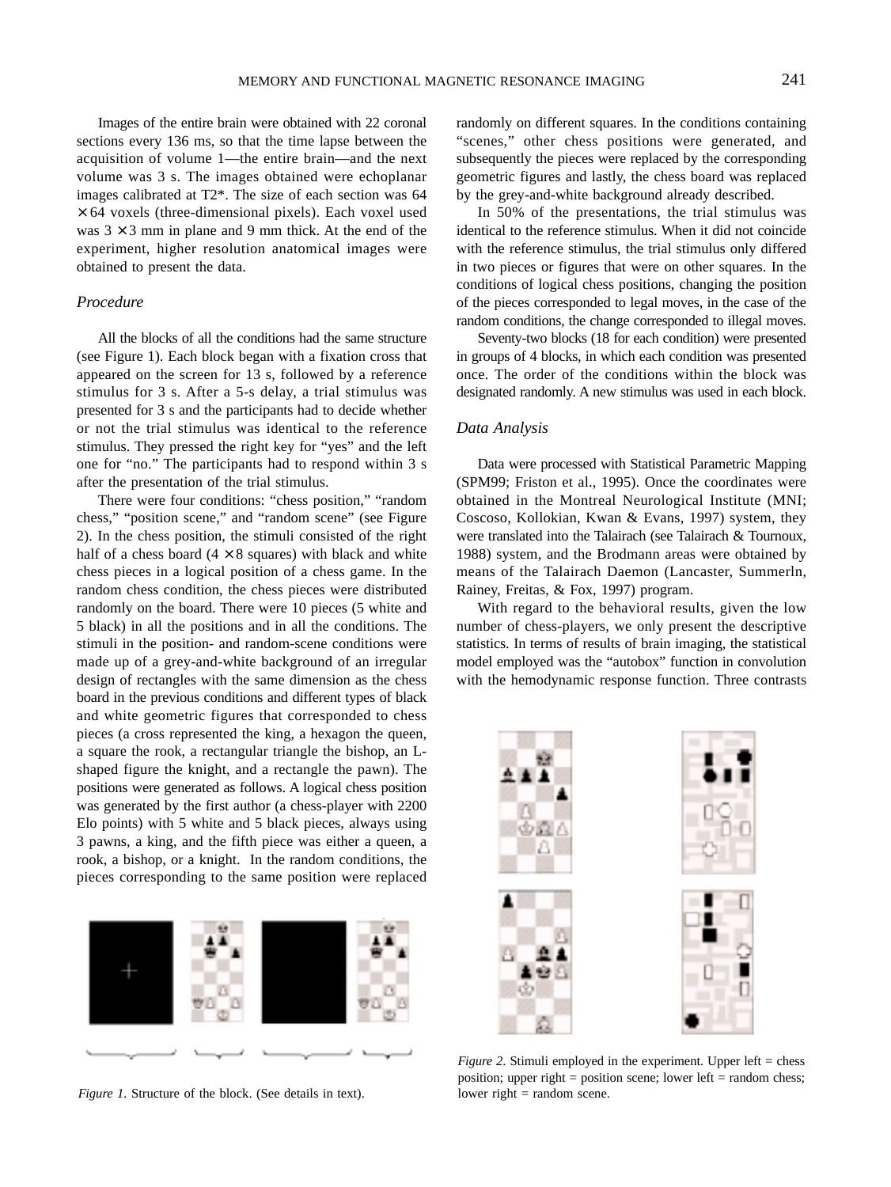Images of the entire brain were obtained with 22 coronal sections every 136 ms, so that the time lapse between the acquisition of volume 1—the entire brain—and the next volume was 3 s. The images obtained were echoplanar images calibrated at T2\*. The size of each section was 64  $\times$  64 voxels (three-dimensional pixels). Each voxel used was  $3 \times 3$  mm in plane and 9 mm thick. At the end of the experiment, higher resolution anatomical images were obtained to present the data.

# *Procedure*

All the blocks of all the conditions had the same structure (see Figure 1). Each block began with a fixation cross that appeared on the screen for 13 s, followed by a reference stimulus for 3 s. After a 5-s delay, a trial stimulus was presented for 3 s and the participants had to decide whether or not the trial stimulus was identical to the reference stimulus. They pressed the right key for "yes" and the left one for "no." The participants had to respond within 3 s after the presentation of the trial stimulus.

There were four conditions: "chess position," "random chess," "position scene," and "random scene" (see Figure 2). In the chess position, the stimuli consisted of the right half of a chess board  $(4 \times 8)$  squares) with black and white chess pieces in a logical position of a chess game. In the random chess condition, the chess pieces were distributed randomly on the board. There were 10 pieces (5 white and 5 black) in all the positions and in all the conditions. The stimuli in the position- and random-scene conditions were made up of a grey-and-white background of an irregular design of rectangles with the same dimension as the chess board in the previous conditions and different types of black and white geometric figures that corresponded to chess pieces (a cross represented the king, a hexagon the queen, a square the rook, a rectangular triangle the bishop, an Lshaped figure the knight, and a rectangle the pawn). The positions were generated as follows. A logical chess position was generated by the first author (a chess-player with 2200 Elo points) with 5 white and 5 black pieces, always using 3 pawns, a king, and the fifth piece was either a queen, a rook, a bishop, or a knight. In the random conditions, the pieces corresponding to the same position were replaced



*Figure 1.* Structure of the block. (See details in text).

randomly on different squares. In the conditions containing "scenes," other chess positions were generated, and subsequently the pieces were replaced by the corresponding geometric figures and lastly, the chess board was replaced by the grey-and-white background already described.

In 50% of the presentations, the trial stimulus was identical to the reference stimulus. When it did not coincide with the reference stimulus, the trial stimulus only differed in two pieces or figures that were on other squares. In the conditions of logical chess positions, changing the position of the pieces corresponded to legal moves, in the case of the random conditions, the change corresponded to illegal moves.

Seventy-two blocks (18 for each condition) were presented in groups of 4 blocks, in which each condition was presented once. The order of the conditions within the block was designated randomly. A new stimulus was used in each block.

# *Data Analysis*

Data were processed with Statistical Parametric Mapping (SPM99; Friston et al., 1995). Once the coordinates were obtained in the Montreal Neurological Institute (MNI; Coscoso, Kollokian, Kwan & Evans, 1997) system, they were translated into the Talairach (see Talairach & Tournoux, 1988) system, and the Brodmann areas were obtained by means of the Talairach Daemon (Lancaster, Summerln, Rainey, Freitas, & Fox, 1997) program.

With regard to the behavioral results, given the low number of chess-players, we only present the descriptive statistics. In terms of results of brain imaging, the statistical model employed was the "autobox" function in convolution with the hemodynamic response function. Three contrasts



*Figure 2*. Stimuli employed in the experiment. Upper left = chess position; upper right = position scene; lower left = random chess; lower right = random scene.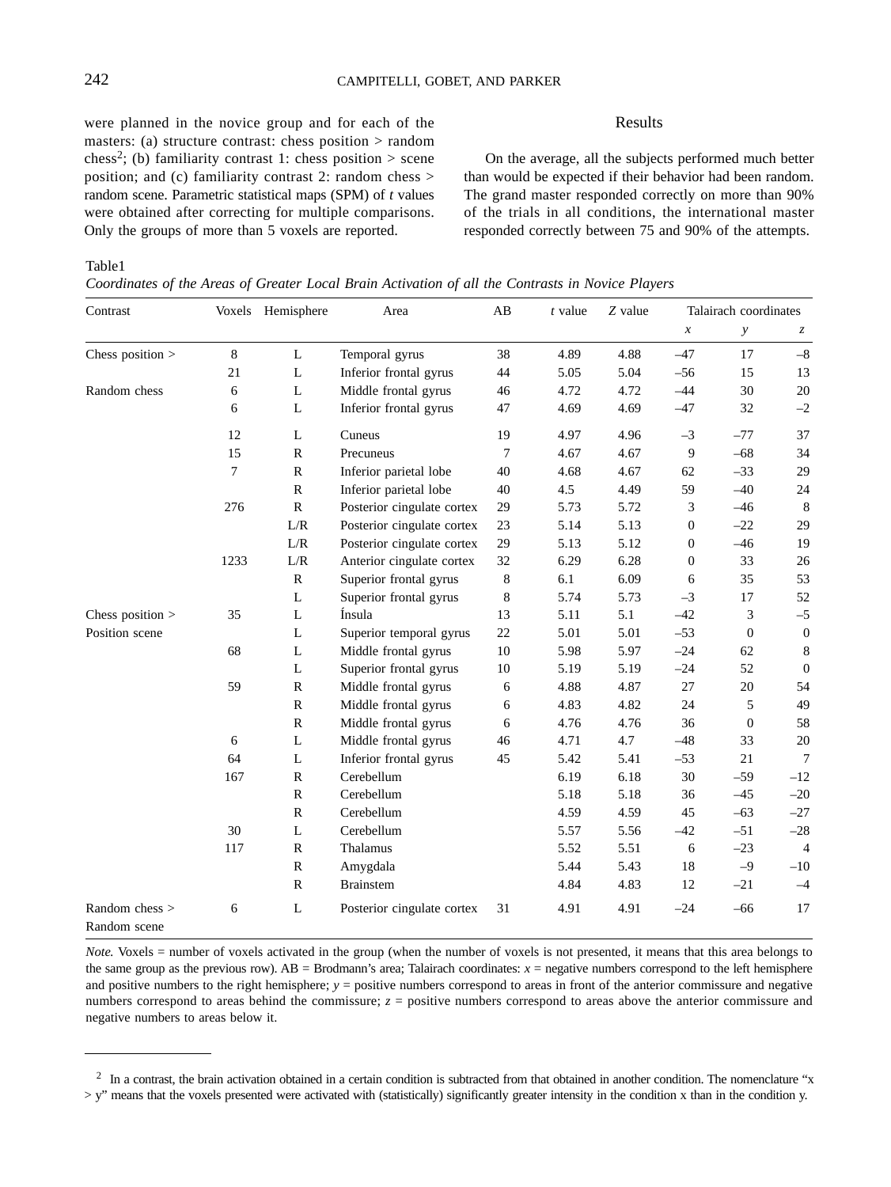were planned in the novice group and for each of the masters: (a) structure contrast: chess position > random chess<sup>2</sup>; (b) familiarity contrast 1: chess position  $>$  scene position; and (c) familiarity contrast 2: random chess > random scene. Parametric statistical maps (SPM) of *t* values were obtained after correcting for multiple comparisons. Only the groups of more than 5 voxels are reported.

### Results

On the average, all the subjects performed much better than would be expected if their behavior had been random. The grand master responded correctly on more than 90% of the trials in all conditions, the international master responded correctly between 75 and 90% of the attempts.

Table1

*Coordinates of the Areas of Greater Local Brain Activation of all the Contrasts in Novice Players*

| Contrast                       |        | Voxels Hemisphere | Area                       | AB      | $t$ value | Z value | Talairach coordinates |                  |                  |
|--------------------------------|--------|-------------------|----------------------------|---------|-----------|---------|-----------------------|------------------|------------------|
|                                |        |                   |                            |         |           |         | $\boldsymbol{x}$      | $\mathcal{Y}$    | $\mathcal{Z}$    |
| Chess position $>$             | 8      | L                 | Temporal gyrus             | 38      | 4.89      | 4.88    | $-47$                 | 17               | $-8$             |
|                                | 21     | L                 | Inferior frontal gyrus     | 44      | 5.05      | 5.04    | $-56$                 | 15               | 13               |
| Random chess                   | 6      | L                 | Middle frontal gyrus       | 46      | 4.72      | 4.72    | $-44$                 | 30               | $20\,$           |
|                                | 6      | L                 | Inferior frontal gyrus     | 47      | 4.69      | 4.69    | $-47$                 | 32               | $-2$             |
|                                | 12     | L                 | Cuneus                     | 19      | 4.97      | 4.96    | $-3$                  | $-77$            | 37               |
|                                | 15     | $\mathbb{R}$      | Precuneus                  | 7       | 4.67      | 4.67    | $\overline{9}$        | $-68$            | 34               |
|                                | $\tau$ | ${\bf R}$         | Inferior parietal lobe     | 40      | 4.68      | 4.67    | 62                    | $-33$            | 29               |
|                                |        | $\mathbb{R}$      | Inferior parietal lobe     | 40      | 4.5       | 4.49    | 59                    | $-40$            | 24               |
|                                | 276    | $\, {\bf R}$      | Posterior cingulate cortex | 29      | 5.73      | 5.72    | 3                     | $-46$            | 8                |
|                                |        | L/R               | Posterior cingulate cortex | 23      | 5.14      | 5.13    | $\boldsymbol{0}$      | $-22$            | 29               |
|                                |        | L/R               | Posterior cingulate cortex | 29      | 5.13      | 5.12    | $\boldsymbol{0}$      | $-46$            | 19               |
|                                | 1233   | L/R               | Anterior cingulate cortex  | 32      | 6.29      | 6.28    | $\mathbf{0}$          | 33               | 26               |
|                                |        | $\mathbf R$       | Superior frontal gyrus     | $\,8\,$ | 6.1       | 6.09    | 6                     | 35               | 53               |
|                                |        | L                 | Superior frontal gyrus     | 8       | 5.74      | 5.73    | $-3$                  | 17               | 52               |
| Chess position >               | 35     | L                 | Ínsula                     | 13      | 5.11      | 5.1     | $-42$                 | 3                | $-5$             |
| Position scene                 |        | L                 | Superior temporal gyrus    | 22      | 5.01      | 5.01    | $-53$                 | $\boldsymbol{0}$ | $\boldsymbol{0}$ |
|                                | 68     | L                 | Middle frontal gyrus       | 10      | 5.98      | 5.97    | $-24$                 | 62               | 8                |
|                                |        | L                 | Superior frontal gyrus     | 10      | 5.19      | 5.19    | $-24$                 | 52               | $\overline{0}$   |
|                                | 59     | $\mathbb{R}$      | Middle frontal gyrus       | 6       | 4.88      | 4.87    | 27                    | 20               | 54               |
|                                |        | ${\bf R}$         | Middle frontal gyrus       | 6       | 4.83      | 4.82    | 24                    | 5                | 49               |
|                                |        | $\mathbb{R}$      | Middle frontal gyrus       | 6       | 4.76      | 4.76    | 36                    | $\overline{0}$   | 58               |
|                                | 6      | L                 | Middle frontal gyrus       | 46      | 4.71      | 4.7     | $-48$                 | 33               | 20               |
|                                | 64     | L                 | Inferior frontal gyrus     | 45      | 5.42      | 5.41    | $-53$                 | 21               | $\overline{7}$   |
|                                | 167    | $\mathbf R$       | Cerebellum                 |         | 6.19      | 6.18    | 30                    | $-59$            | $-12$            |
|                                |        | ${\bf R}$         | Cerebellum                 |         | 5.18      | 5.18    | 36                    | $-45$            | $-20$            |
|                                |        | $\mathbb{R}$      | Cerebellum                 |         | 4.59      | 4.59    | 45                    | $-63$            | $-27$            |
|                                | 30     | L                 | Cerebellum                 |         | 5.57      | 5.56    | $-42$                 | $-51$            | $-28$            |
|                                | 117    | ${\bf R}$         | Thalamus                   |         | 5.52      | 5.51    | 6                     | $-23$            | $\overline{4}$   |
|                                |        | ${\bf R}$         | Amygdala                   |         | 5.44      | 5.43    | 18                    | $-9$             | $-10$            |
|                                |        | ${\bf R}$         | <b>Brainstem</b>           |         | 4.84      | 4.83    | 12                    | $-21$            | $-4$             |
| Random chess ><br>Random scene | 6      | L                 | Posterior cingulate cortex | 31      | 4.91      | 4.91    | $-24$                 | $-66$            | 17               |

*Note.* Voxels = number of voxels activated in the group (when the number of voxels is not presented, it means that this area belongs to the same group as the previous row). AB = Brodmann's area; Talairach coordinates: *x* = negative numbers correspond to the left hemisphere and positive numbers to the right hemisphere;  $y =$  positive numbers correspond to areas in front of the anterior commissure and negative numbers correspond to areas behind the commissure;  $z =$  positive numbers correspond to areas above the anterior commissure and negative numbers to areas below it.

<sup>&</sup>lt;sup>2</sup> In a contrast, the brain activation obtained in a certain condition is subtracted from that obtained in another condition. The nomenclature "x > y" means that the voxels presented were activated with (statistically) significantly greater intensity in the condition x than in the condition y.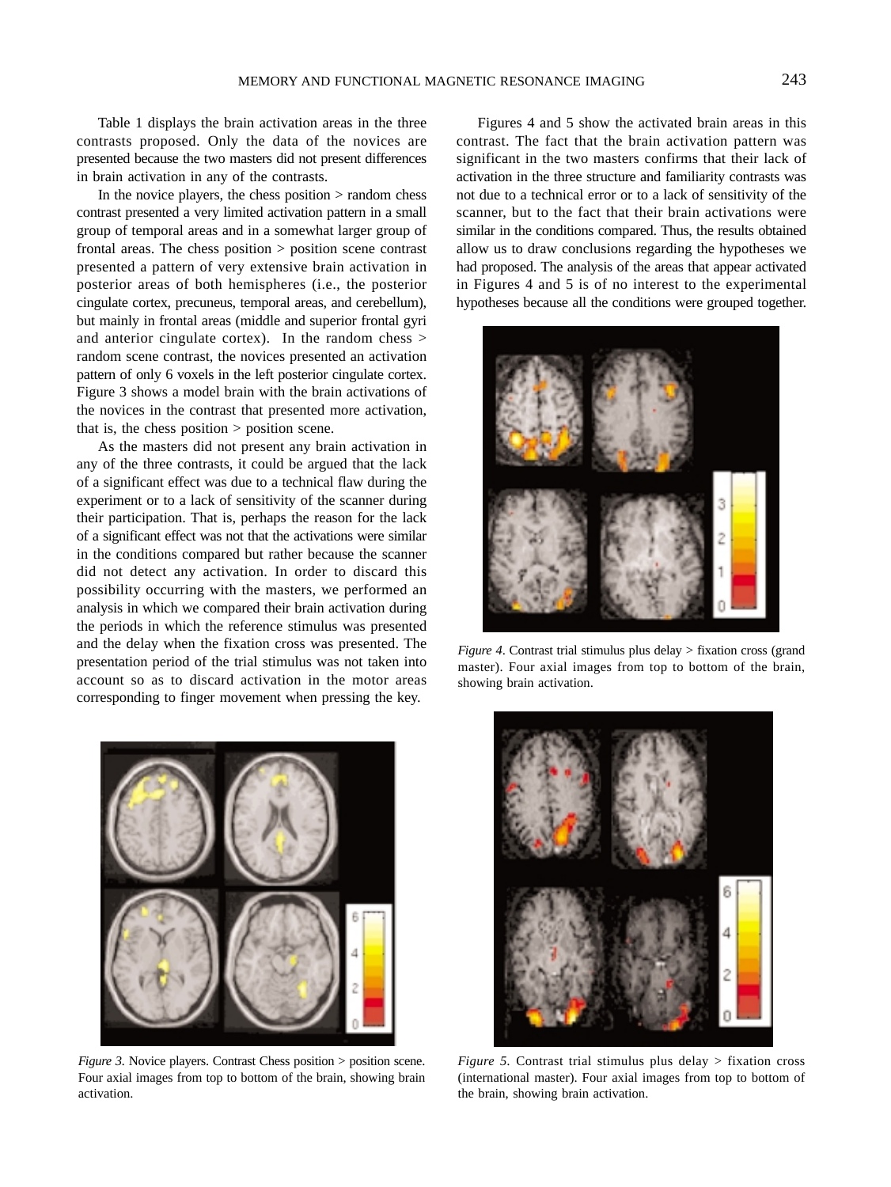Table 1 displays the brain activation areas in the three contrasts proposed. Only the data of the novices are presented because the two masters did not present differences in brain activation in any of the contrasts.

In the novice players, the chess position  $>$  random chess contrast presented a very limited activation pattern in a small group of temporal areas and in a somewhat larger group of frontal areas. The chess position > position scene contrast presented a pattern of very extensive brain activation in posterior areas of both hemispheres (i.e., the posterior cingulate cortex, precuneus, temporal areas, and cerebellum), but mainly in frontal areas (middle and superior frontal gyri and anterior cingulate cortex). In the random chess  $>$ random scene contrast, the novices presented an activation pattern of only 6 voxels in the left posterior cingulate cortex. Figure 3 shows a model brain with the brain activations of the novices in the contrast that presented more activation, that is, the chess position  $>$  position scene.

As the masters did not present any brain activation in any of the three contrasts, it could be argued that the lack of a significant effect was due to a technical flaw during the experiment or to a lack of sensitivity of the scanner during their participation. That is, perhaps the reason for the lack of a significant effect was not that the activations were similar in the conditions compared but rather because the scanner did not detect any activation. In order to discard this possibility occurring with the masters, we performed an analysis in which we compared their brain activation during the periods in which the reference stimulus was presented and the delay when the fixation cross was presented. The presentation period of the trial stimulus was not taken into account so as to discard activation in the motor areas corresponding to finger movement when pressing the key.

*Figure 3.* Novice players. Contrast Chess position > position scene. Four axial images from top to bottom of the brain, showing brain activation.

Figures 4 and 5 show the activated brain areas in this contrast. The fact that the brain activation pattern was significant in the two masters confirms that their lack of activation in the three structure and familiarity contrasts was not due to a technical error or to a lack of sensitivity of the scanner, but to the fact that their brain activations were similar in the conditions compared. Thus, the results obtained allow us to draw conclusions regarding the hypotheses we had proposed. The analysis of the areas that appear activated in Figures 4 and 5 is of no interest to the experimental hypotheses because all the conditions were grouped together.



*Figure 4*. Contrast trial stimulus plus delay > fixation cross (grand master). Four axial images from top to bottom of the brain, showing brain activation.



*Figure 5.* Contrast trial stimulus plus delay > fixation cross (international master). Four axial images from top to bottom of the brain, showing brain activation.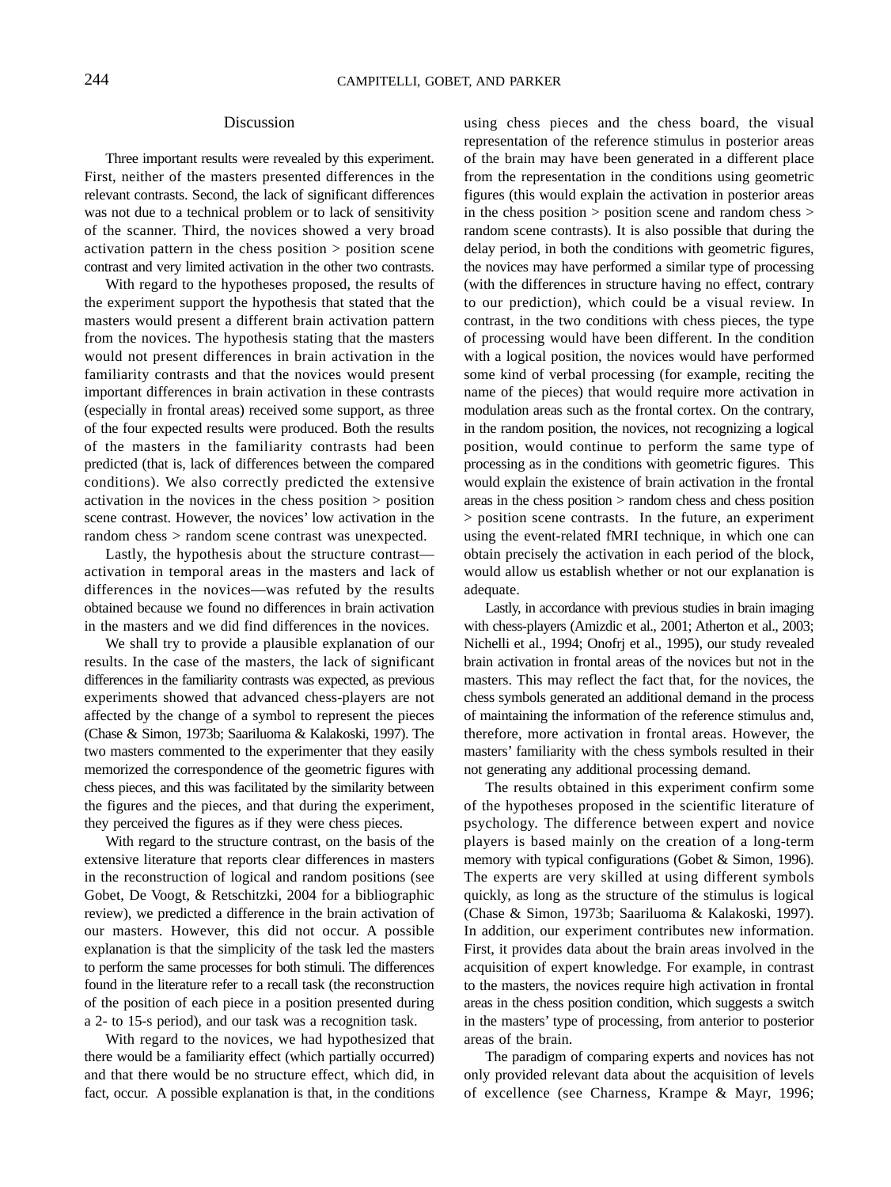### Discussion

Three important results were revealed by this experiment. First, neither of the masters presented differences in the relevant contrasts. Second, the lack of significant differences was not due to a technical problem or to lack of sensitivity of the scanner. Third, the novices showed a very broad activation pattern in the chess position > position scene contrast and very limited activation in the other two contrasts.

With regard to the hypotheses proposed, the results of the experiment support the hypothesis that stated that the masters would present a different brain activation pattern from the novices. The hypothesis stating that the masters would not present differences in brain activation in the familiarity contrasts and that the novices would present important differences in brain activation in these contrasts (especially in frontal areas) received some support, as three of the four expected results were produced. Both the results of the masters in the familiarity contrasts had been predicted (that is, lack of differences between the compared conditions). We also correctly predicted the extensive activation in the novices in the chess position > position scene contrast. However, the novices' low activation in the random chess > random scene contrast was unexpected.

Lastly, the hypothesis about the structure contrast activation in temporal areas in the masters and lack of differences in the novices—was refuted by the results obtained because we found no differences in brain activation in the masters and we did find differences in the novices.

We shall try to provide a plausible explanation of our results. In the case of the masters, the lack of significant differences in the familiarity contrasts was expected, as previous experiments showed that advanced chess-players are not affected by the change of a symbol to represent the pieces (Chase & Simon, 1973b; Saariluoma & Kalakoski, 1997). The two masters commented to the experimenter that they easily memorized the correspondence of the geometric figures with chess pieces, and this was facilitated by the similarity between the figures and the pieces, and that during the experiment, they perceived the figures as if they were chess pieces.

With regard to the structure contrast, on the basis of the extensive literature that reports clear differences in masters in the reconstruction of logical and random positions (see Gobet, De Voogt, & Retschitzki, 2004 for a bibliographic review), we predicted a difference in the brain activation of our masters. However, this did not occur. A possible explanation is that the simplicity of the task led the masters to perform the same processes for both stimuli. The differences found in the literature refer to a recall task (the reconstruction of the position of each piece in a position presented during a 2- to 15-s period), and our task was a recognition task.

With regard to the novices, we had hypothesized that there would be a familiarity effect (which partially occurred) and that there would be no structure effect, which did, in fact, occur. A possible explanation is that, in the conditions using chess pieces and the chess board, the visual representation of the reference stimulus in posterior areas of the brain may have been generated in a different place from the representation in the conditions using geometric figures (this would explain the activation in posterior areas in the chess position > position scene and random chess > random scene contrasts). It is also possible that during the delay period, in both the conditions with geometric figures, the novices may have performed a similar type of processing (with the differences in structure having no effect, contrary to our prediction), which could be a visual review. In contrast, in the two conditions with chess pieces, the type of processing would have been different. In the condition with a logical position, the novices would have performed some kind of verbal processing (for example, reciting the name of the pieces) that would require more activation in modulation areas such as the frontal cortex. On the contrary, in the random position, the novices, not recognizing a logical position, would continue to perform the same type of processing as in the conditions with geometric figures. This would explain the existence of brain activation in the frontal areas in the chess position > random chess and chess position > position scene contrasts. In the future, an experiment using the event-related fMRI technique, in which one can obtain precisely the activation in each period of the block, would allow us establish whether or not our explanation is adequate.

Lastly, in accordance with previous studies in brain imaging with chess-players (Amizdic et al., 2001; Atherton et al., 2003; Nichelli et al., 1994; Onofrj et al., 1995), our study revealed brain activation in frontal areas of the novices but not in the masters. This may reflect the fact that, for the novices, the chess symbols generated an additional demand in the process of maintaining the information of the reference stimulus and, therefore, more activation in frontal areas. However, the masters' familiarity with the chess symbols resulted in their not generating any additional processing demand.

The results obtained in this experiment confirm some of the hypotheses proposed in the scientific literature of psychology. The difference between expert and novice players is based mainly on the creation of a long-term memory with typical configurations (Gobet & Simon, 1996). The experts are very skilled at using different symbols quickly, as long as the structure of the stimulus is logical (Chase & Simon, 1973b; Saariluoma & Kalakoski, 1997). In addition, our experiment contributes new information. First, it provides data about the brain areas involved in the acquisition of expert knowledge. For example, in contrast to the masters, the novices require high activation in frontal areas in the chess position condition, which suggests a switch in the masters' type of processing, from anterior to posterior areas of the brain.

The paradigm of comparing experts and novices has not only provided relevant data about the acquisition of levels of excellence (see Charness, Krampe & Mayr, 1996;